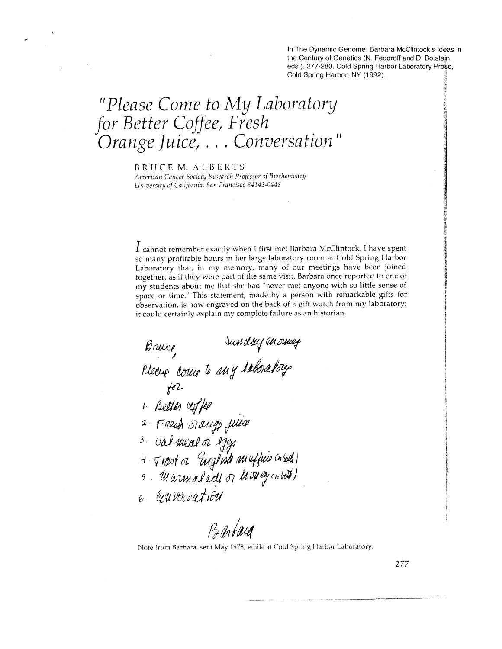In The Dynamic Genome: Barbara McClintock's Ideas in the Century of Genetics (N. Fedoroff and D. Botstein, eds.). 277-280. Cold Spring Harbor Laboratory Press, Cold Spring Harbor, NY (1992).

## "Please Come to My Laboratory for Better Coffee, Fresh Orange Juice, ... Conversation"

BRUCE M. ALBERTS American Cancer Society Research Professor of Biochemistry University of California, San Francisco 94143-0448

 $\,I\,$  cannot remember exactly when I first met Barbara McClintock. I have spent so many profitable hours in her large laboratory room at Cold Spring Harbor Laboratory that, in my memory, many of our meetings have been joined together, as if they were part of the same visit. Barbara once reported to one of my students about me that she had "never met anyone with so little sense of space or time." This statement, made by a person with remarkable gifts for observation, is now engraved on the back of a gift watch from my laboratory; it could certainly explain my complete failure as an historian.

writes, sunday answers,<br>Please come to any haboratory 1. Better coffee<br>2. Freeh Staugp juice 3. Oal meal or loggs.<br>4. Troot or English muffus (note) 6 Cruveroation

Barbara

Note from Barbara, sent May 1978, while at Cold Spring Harbor Laboratory.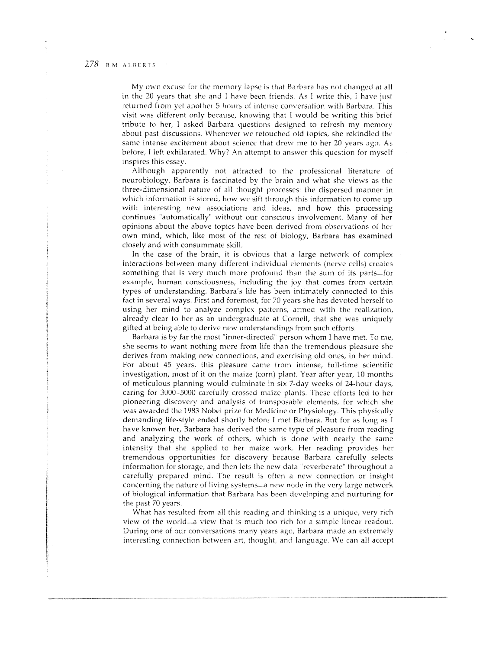## $278$  B.M. ALBERTS

My own excuse for the memory lapse is that Barbara has not changed at all in the 20 years that she and I have been friends. As I write this, I have just returned from yet another 5 hours of intense conversation with Barbara. This visit was different only because, knowing that I would be writing this brief tribute to her, I asked Barbara questions designed to refresh my memory about past discussions. Whenever we retouched old topics, she rekindled the same intense excitement about science that drew me to her 20 years ago. As before, I left exhilarated. Why? An attempt to answer this question for myself inspires this essay.

Although apparently not attracted to the professional literature of neurobiology, Barbara is fascinated by the brain and what she views as the three-dimensional nature of all thought processes: the dispersed manner in which information is stored, how we sift through this information to come up with interesting new associations and ideas, and how this processing continues "automatically" without our conscious involvement. Many of her opinions about the above topics have been derived from observations of her own mind, which, like most of the rest of biology, Barbara has examined closely and with consummate skill.

In the case of the brain, it is obvious that a large network of complex interactions between many different individual elements (nerve cells) creates something that is very much more profound than the sum of its parts-for example, human consciousness, including the joy that comes from certain types of understanding. Barbara's life has been intimately connected to this fact in several ways. First and foremost, for 70 years she has devoted herself to using her mind to analyze complex patterns, armed with the realization, already clear to her as an undergraduate at Cornell, that she was uniquely gifted at being able to derive new understandings from such efforts.

Barbara is by far the most "inner-directed" person whom I have met. To me, she seems to want nothing more from life than the tremendous pleasure she derives from making new connections, and exercising old ones, in her mind. For about 45 years, this pleasure came from intense, full-time scientific investigation, most of it on the maize (corn) plant. Year after year, 10 months of meticulous planning would culminate in six 7-day weeks of 24-hour days, caring for 3000-5000 carefully crossed maize plants. These efforts led to her pioneering discovery and analysis of transposable elements, for which she was awarded the 1983 Nobel prize for Medicine or Physiology. This physically demanding life-style ended shortly before I met Barbara. But for as long as I have known her, Barbara has derived the same type of pleasure from reading and analyzing the work of others, which is done with nearly the same intensity that she applied to her maize work. Her reading provides her tremendous opportunities for discovery because Barbara carefully selects information for storage, and then lets the new data "reverberate" throughout a carefully prepared mind. The result is often a new connection or insight concerning the nature of living systems—a new node in the very large network of biological information that Barbara has been developing and nurturing for the past 70 years.

What has resulted from all this reading and thinking is a unique, very rich view of the world—a view that is much too rich for a simple linear readout. During one of our conversations many years ago, Barbara made an extremely interesting connection between art, thought, and language. We can all accept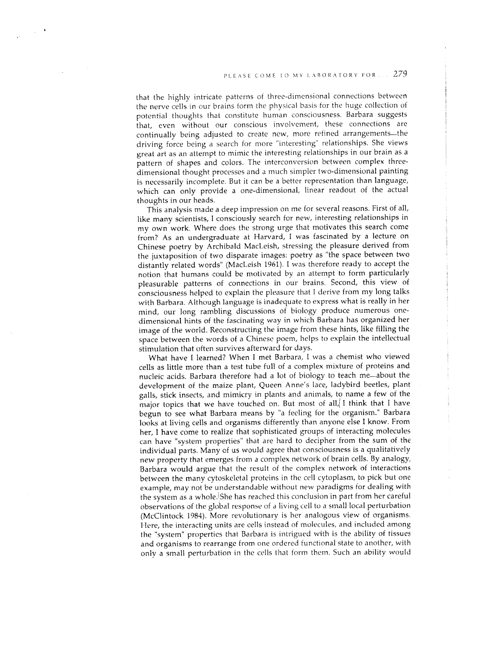that the highly intricate patterns of three-dimensional connections between the nerve cells in our brains form the physical basis for the huge collection of potential thoughts that constitute human consciousness. Barbara suggests that, even without our conscious involvement, these connections are continually being adjusted to create new, more refined arrangements-the driving force being a search for more "interesting" relationships. She views great art as an attempt to mimic the interesting relationships in our brain as a pattern of shapes and colors. The interconversion between complex threedimensional thought processes and a much simpler two-dimensional painting is necessarily incomplete. But it can be a better representation than language, which can only provide a one-dimensional, linear readout of the actual thoughts in our heads.

This analysis made a deep impression on me for several reasons. First of all, like many scientists, I consciously search for new, interesting relationships in my own work. Where does the strong urge that motivates this search come from? As an undergraduate at Harvard, I was fascinated by a lecture on Chinese poetry by Archibald MacLeish, stressing the pleasure derived from the juxtaposition of two disparate images: poetry as "the space between two distantly related words" (MacLeish 1961). I was therefore ready to accept the notion that humans could be motivated by an attempt to form particularly pleasurable patterns of connections in our brains. Second, this view of consciousness helped to explain the pleasure that I derive from my long talks with Barbara. Although language is inadequate to express what is really in her mind, our long rambling discussions of biology produce numerous onedimensional hints of the fascinating way in which Barbara has organized her image of the world. Reconstructing the image from these hints, like filling the space between the words of a Chinese poem, helps to explain the intellectual stimulation that often survives afterward for days.

What have I learned? When I met Barbara, I was a chemist who viewed cells as little more than a test tube full of a complex mixture of proteins and nucleic acids. Barbara therefore had a lot of biology to teach me-about the development of the maize plant, Queen Anne's lace, ladybird beetles, plant galls, stick insects, and mimicry in plants and animals, to name a few of the major topics that we have touched on. But most of all, I think that I have begun to see what Barbara means by "a feeling for the organism." Barbara looks at living cells and organisms differently than anyone else I know. From her, I have come to realize that sophisticated groups of interacting molecules can have "system properties" that are hard to decipher from the sum of the individual parts. Many of us would agree that consciousness is a qualitatively new property that emerges from a complex network of brain cells. By analogy, Barbara would argue that the result of the complex network of interactions between the many cytoskeletal proteins in the cell cytoplasm, to pick but one example, may not be understandable without new paradigms for dealing with the system as a whole. She has reached this conclusion in part from her careful observations of the global response of a living cell to a small local perturbation (McClintock 1984). More revolutionary is her analogous view of organisms. Here, the interacting units are cells instead of molecules, and included among the "system" properties that Barbara is intrigued with is the ability of tissues and organisms to rearrange from one ordered functional state to another, with only a small perturbation in the cells that form them. Such an ability would